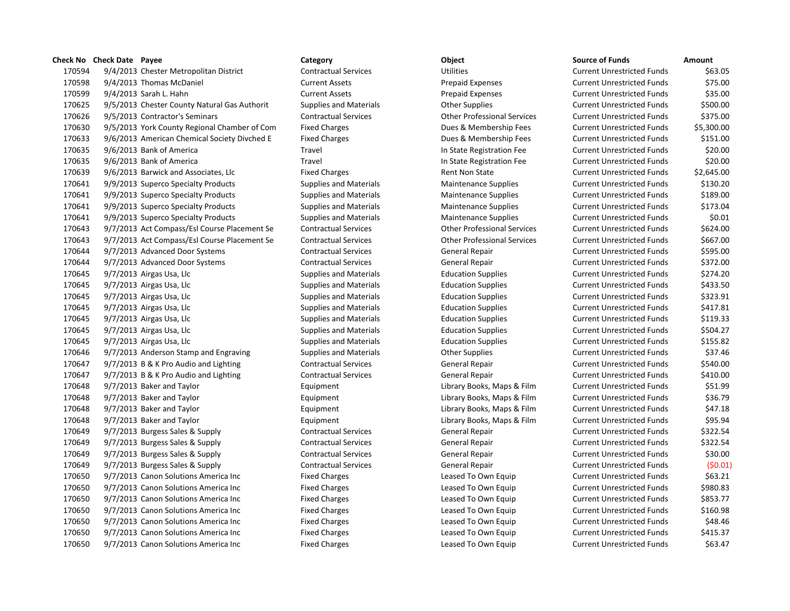|        | <b>Check No</b> Check Date Payee |                                              | Category                      | <b>Object</b>                      | <b>Source of Funds</b>            | Amount     |
|--------|----------------------------------|----------------------------------------------|-------------------------------|------------------------------------|-----------------------------------|------------|
| 170594 |                                  | 9/4/2013 Chester Metropolitan District       | <b>Contractual Services</b>   | <b>Utilities</b>                   | <b>Current Unrestricted Funds</b> | \$63.05    |
| 170598 |                                  | 9/4/2013 Thomas McDaniel                     | <b>Current Assets</b>         | Prepaid Expenses                   | <b>Current Unrestricted Funds</b> | \$75.00    |
| 170599 |                                  | 9/4/2013 Sarah L. Hahn                       | <b>Current Assets</b>         | Prepaid Expenses                   | <b>Current Unrestricted Funds</b> | \$35.00    |
| 170625 |                                  | 9/5/2013 Chester County Natural Gas Authorit | Supplies and Materials        | <b>Other Supplies</b>              | <b>Current Unrestricted Funds</b> | \$500.00   |
| 170626 |                                  | 9/5/2013 Contractor's Seminars               | <b>Contractual Services</b>   | <b>Other Professional Services</b> | <b>Current Unrestricted Funds</b> | \$375.00   |
| 170630 |                                  | 9/5/2013 York County Regional Chamber of Com | <b>Fixed Charges</b>          | Dues & Membership Fees             | <b>Current Unrestricted Funds</b> | \$5,300.00 |
| 170633 |                                  | 9/6/2013 American Chemical Society Divched E | <b>Fixed Charges</b>          | Dues & Membership Fees             | <b>Current Unrestricted Funds</b> | \$151.00   |
| 170635 |                                  | 9/6/2013 Bank of America                     | Travel                        | In State Registration Fee          | <b>Current Unrestricted Funds</b> | \$20.00    |
| 170635 |                                  | 9/6/2013 Bank of America                     | Travel                        | In State Registration Fee          | <b>Current Unrestricted Funds</b> | \$20.00    |
| 170639 |                                  | 9/6/2013 Barwick and Associates, Llc         | <b>Fixed Charges</b>          | Rent Non State                     | <b>Current Unrestricted Funds</b> | \$2,645.00 |
| 170641 |                                  | 9/9/2013 Superco Specialty Products          | <b>Supplies and Materials</b> | Maintenance Supplies               | <b>Current Unrestricted Funds</b> | \$130.20   |
| 170641 |                                  | 9/9/2013 Superco Specialty Products          | <b>Supplies and Materials</b> | Maintenance Supplies               | <b>Current Unrestricted Funds</b> | \$189.00   |
| 170641 |                                  | 9/9/2013 Superco Specialty Products          | <b>Supplies and Materials</b> | <b>Maintenance Supplies</b>        | <b>Current Unrestricted Funds</b> | \$173.04   |
| 170641 |                                  | 9/9/2013 Superco Specialty Products          | <b>Supplies and Materials</b> | <b>Maintenance Supplies</b>        | <b>Current Unrestricted Funds</b> | \$0.01     |
| 170643 |                                  | 9/7/2013 Act Compass/Esl Course Placement Se | <b>Contractual Services</b>   | <b>Other Professional Services</b> | <b>Current Unrestricted Funds</b> | \$624.00   |
| 170643 |                                  | 9/7/2013 Act Compass/Esl Course Placement Se | <b>Contractual Services</b>   | <b>Other Professional Services</b> | <b>Current Unrestricted Funds</b> | \$667.00   |
| 170644 |                                  | 9/7/2013 Advanced Door Systems               | <b>Contractual Services</b>   | <b>General Repair</b>              | <b>Current Unrestricted Funds</b> | \$595.00   |
| 170644 |                                  | 9/7/2013 Advanced Door Systems               | <b>Contractual Services</b>   | General Repair                     | <b>Current Unrestricted Funds</b> | \$372.00   |
| 170645 |                                  | 9/7/2013 Airgas Usa, Llc                     | <b>Supplies and Materials</b> | <b>Education Supplies</b>          | <b>Current Unrestricted Funds</b> | \$274.20   |
| 170645 |                                  | 9/7/2013 Airgas Usa, Llc                     | Supplies and Materials        | <b>Education Supplies</b>          | <b>Current Unrestricted Funds</b> | \$433.50   |
| 170645 |                                  | 9/7/2013 Airgas Usa, Llc                     | Supplies and Materials        | <b>Education Supplies</b>          | <b>Current Unrestricted Funds</b> | \$323.91   |
| 170645 |                                  | 9/7/2013 Airgas Usa, Llc                     | <b>Supplies and Materials</b> | <b>Education Supplies</b>          | <b>Current Unrestricted Funds</b> | \$417.81   |
| 170645 |                                  | 9/7/2013 Airgas Usa, Llc                     | <b>Supplies and Materials</b> | <b>Education Supplies</b>          | <b>Current Unrestricted Funds</b> | \$119.33   |
| 170645 |                                  | 9/7/2013 Airgas Usa, Llc                     | <b>Supplies and Materials</b> | <b>Education Supplies</b>          | <b>Current Unrestricted Funds</b> | \$504.27   |
| 170645 |                                  | 9/7/2013 Airgas Usa, Llc                     | Supplies and Materials        | <b>Education Supplies</b>          | <b>Current Unrestricted Funds</b> | \$155.82   |
| 170646 |                                  | 9/7/2013 Anderson Stamp and Engraving        | <b>Supplies and Materials</b> | <b>Other Supplies</b>              | <b>Current Unrestricted Funds</b> | \$37.46    |
| 170647 |                                  | 9/7/2013 B & K Pro Audio and Lighting        | <b>Contractual Services</b>   | General Repair                     | <b>Current Unrestricted Funds</b> | \$540.00   |
| 170647 |                                  | 9/7/2013 B & K Pro Audio and Lighting        | <b>Contractual Services</b>   | <b>General Repair</b>              | <b>Current Unrestricted Funds</b> | \$410.00   |
| 170648 |                                  | 9/7/2013 Baker and Taylor                    | Equipment                     | Library Books, Maps & Film         | <b>Current Unrestricted Funds</b> | \$51.99    |
| 170648 |                                  | 9/7/2013 Baker and Taylor                    | Equipment                     | Library Books, Maps & Film         | <b>Current Unrestricted Funds</b> | \$36.79    |
| 170648 |                                  | 9/7/2013 Baker and Taylor                    | Equipment                     | Library Books, Maps & Film         | <b>Current Unrestricted Funds</b> | \$47.18    |
| 170648 |                                  | 9/7/2013 Baker and Taylor                    | Equipment                     | Library Books, Maps & Film         | <b>Current Unrestricted Funds</b> | \$95.94    |
| 170649 |                                  | 9/7/2013 Burgess Sales & Supply              | <b>Contractual Services</b>   | General Repair                     | <b>Current Unrestricted Funds</b> | \$322.54   |
| 170649 |                                  | 9/7/2013 Burgess Sales & Supply              | <b>Contractual Services</b>   | <b>General Repair</b>              | <b>Current Unrestricted Funds</b> | \$322.54   |
| 170649 |                                  | 9/7/2013 Burgess Sales & Supply              | <b>Contractual Services</b>   | General Repair                     | <b>Current Unrestricted Funds</b> | \$30.00    |
| 170649 |                                  | 9/7/2013 Burgess Sales & Supply              | <b>Contractual Services</b>   | General Repair                     | <b>Current Unrestricted Funds</b> | (50.01)    |
| 170650 |                                  | 9/7/2013 Canon Solutions America Inc         | <b>Fixed Charges</b>          | Leased To Own Equip                | <b>Current Unrestricted Funds</b> | \$63.21    |
| 170650 |                                  | 9/7/2013 Canon Solutions America Inc         | <b>Fixed Charges</b>          | Leased To Own Equip                | <b>Current Unrestricted Funds</b> | \$980.83   |
| 170650 |                                  | 9/7/2013 Canon Solutions America Inc         | <b>Fixed Charges</b>          | Leased To Own Equip                | <b>Current Unrestricted Funds</b> | \$853.77   |
| 170650 |                                  | 9/7/2013 Canon Solutions America Inc         | <b>Fixed Charges</b>          | Leased To Own Equip                | <b>Current Unrestricted Funds</b> | \$160.98   |
| 170650 |                                  | 9/7/2013 Canon Solutions America Inc         | <b>Fixed Charges</b>          | Leased To Own Equip                | <b>Current Unrestricted Funds</b> | \$48.46    |
| 170650 |                                  | 9/7/2013 Canon Solutions America Inc         | <b>Fixed Charges</b>          | Leased To Own Equip                | <b>Current Unrestricted Funds</b> | \$415.37   |
| 170650 |                                  | 9/7/2013 Canon Solutions America Inc         | <b>Fixed Charges</b>          | Leased To Own Equip                | <b>Current Unrestricted Funds</b> | \$63.47    |
|        |                                  |                                              |                               |                                    |                                   |            |

| <b>Source of Funds</b>            | Amount     |
|-----------------------------------|------------|
| <b>Current Unrestricted Funds</b> | \$63.05    |
| <b>Current Unrestricted Funds</b> | \$75.00    |
| <b>Current Unrestricted Funds</b> | \$35.00    |
| <b>Current Unrestricted Funds</b> | \$500.00   |
| <b>Current Unrestricted Funds</b> | \$375.00   |
| <b>Current Unrestricted Funds</b> | \$5,300.00 |
| <b>Current Unrestricted Funds</b> | \$151.00   |
| <b>Current Unrestricted Funds</b> | \$20.00    |
| <b>Current Unrestricted Funds</b> | \$20.00    |
| <b>Current Unrestricted Funds</b> | \$2,645.00 |
| <b>Current Unrestricted Funds</b> | \$130.20   |
| <b>Current Unrestricted Funds</b> | \$189.00   |
| <b>Current Unrestricted Funds</b> | \$173.04   |
| <b>Current Unrestricted Funds</b> | \$0.01     |
| <b>Current Unrestricted Funds</b> | \$624.00   |
| <b>Current Unrestricted Funds</b> | \$667.00   |
| <b>Current Unrestricted Funds</b> | \$595.00   |
| <b>Current Unrestricted Funds</b> | \$372.00   |
| <b>Current Unrestricted Funds</b> | \$274.20   |
| <b>Current Unrestricted Funds</b> | \$433.50   |
| <b>Current Unrestricted Funds</b> | \$323.91   |
| <b>Current Unrestricted Funds</b> | \$417.81   |
| <b>Current Unrestricted Funds</b> | \$119.33   |
| <b>Current Unrestricted Funds</b> | \$504.27   |
| <b>Current Unrestricted Funds</b> | \$155.82   |
| <b>Current Unrestricted Funds</b> | \$37.46    |
| <b>Current Unrestricted Funds</b> | \$540.00   |
| <b>Current Unrestricted Funds</b> | \$410.00   |
| <b>Current Unrestricted Funds</b> | \$51.99    |
| <b>Current Unrestricted Funds</b> | \$36.79    |
| <b>Current Unrestricted Funds</b> | \$47.18    |
| <b>Current Unrestricted Funds</b> | \$95.94    |
| <b>Current Unrestricted Funds</b> | \$322.54   |
| <b>Current Unrestricted Funds</b> | \$322.54   |
| <b>Current Unrestricted Funds</b> | \$30.00    |
| <b>Current Unrestricted Funds</b> | (50.01)    |
| <b>Current Unrestricted Funds</b> | \$63.21    |
| <b>Current Unrestricted Funds</b> | \$980.83   |
| <b>Current Unrestricted Funds</b> | \$853.77   |
| <b>Current Unrestricted Funds</b> | \$160.98   |
| <b>Current Unrestricted Funds</b> | \$48.46    |
| <b>Current Unrestricted Funds</b> | \$415.37   |
| <b>Current Unrestricted Funds</b> | \$63.47    |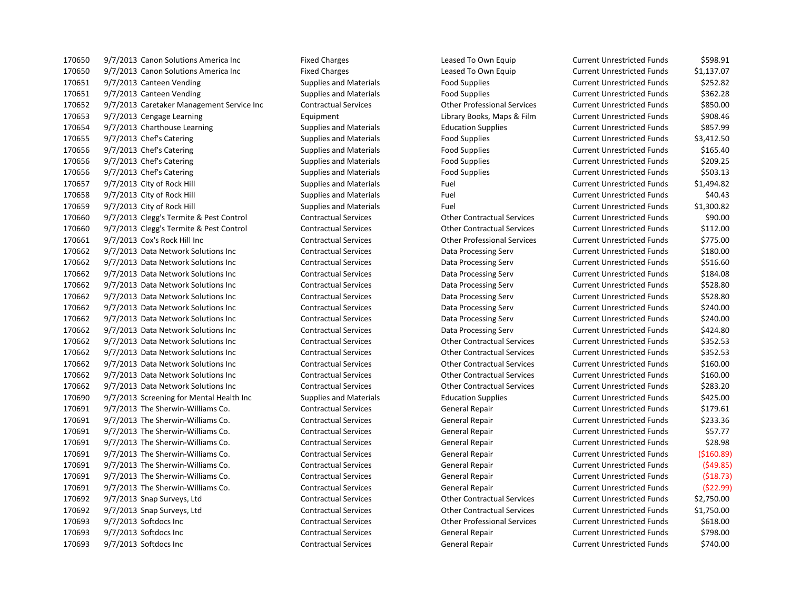170650 9/7/2013 Canon Solutions America Inc Fixed Charges Leased To Own Equip Current Unrestricted Funds \$598.91 9/7/2013 Canon Solutions America Inc Fixed Charges Leased To Own Equip Current Unrestricted Funds \$1,137.07 9/7/2013 Canteen Vending Supplies and Materials Food Supplies Current Unrestricted Funds \$252.82 9/7/2013 Canteen Vending Supplies and Materials Food Supplies Current Unrestricted Funds \$362.28 9/7/2013 Caretaker Management Service Inc Contractual Services Other Professional Services Current Unrestricted Funds \$850.00 9/7/2013 Cengage Learning Equipment Library Books, Maps & Film Current Unrestricted Funds \$908.46 170654 9/7/2013 Charthouse Learning Supplies and Materials Education Supplies Current Unrestricted Funds 5857.99 170655 9/7/2013 Chef's Catering The Supplies and Materials Food Supplies Food Supplies Current Unrestricted Funds \$3,412.50 170656 9/7/2013 Chef's Catering The Supplies and Materials Food Supplies Food Supplies Current Unrestricted Funds \$165.40 170656 9/7/2013 Chef's Catering The Supplies and Materials Food Supplies Food Supplies Current Unrestricted Funds \$209.25 170656 9/7/2013 Chef's Catering The Supplies and Materials Food Supplies Food Supplies Current Unrestricted Funds \$503.13 170657 9/7/2013 City of Rock Hill Supplies and Materials Fuel Fuel Current Unrestricted Funds \$1,494.82 170658 9/7/2013 City of Rock Hill Supplies and Materials Fuel Fuel Current Unrestricted Funds \$40.43 9/7/2013 City of Rock Hill Supplies and Materials Fuel Current Unrestricted Funds \$1,300.82 9/7/2013 Clegg's Termite & Pest Control Contractual Services Other Contractual Services Current Unrestricted Funds \$90.00 9/7/2013 Clegg's Termite & Pest Control Contractual Services Other Contractual Services Current Unrestricted Funds \$112.00 9/7/2013 Cox's Rock Hill Inc Contractual Services Other Professional Services Current Unrestricted Funds \$775.00 9/7/2013 Data Network Solutions Inc Contractual Services Data Processing Serv Current Unrestricted Funds \$180.00 9/7/2013 Data Network Solutions Inc Contractual Services Data Processing Serv Current Unrestricted Funds \$516.60 9/7/2013 Data Network Solutions Inc Contractual Services Data Processing Serv Current Unrestricted Funds \$184.08 9/7/2013 Data Network Solutions Inc Contractual Services Data Processing Serv Current Unrestricted Funds \$528.80 9/7/2013 Data Network Solutions Inc Contractual Services Data Processing Serv Current Unrestricted Funds \$528.80 9/7/2013 Data Network Solutions Inc Contractual Services Data Processing Serv Current Unrestricted Funds \$240.00 9/7/2013 Data Network Solutions Inc Contractual Services Data Processing Serv Current Unrestricted Funds \$240.00 9/7/2013 Data Network Solutions Inc Contractual Services Data Processing Serv Current Unrestricted Funds \$424.80 9/7/2013 Data Network Solutions Inc Contractual Services Other Contractual Services Current Unrestricted Funds \$352.53 9/7/2013 Data Network Solutions Inc Contractual Services Other Contractual Services Current Unrestricted Funds \$352.53 9/7/2013 Data Network Solutions Inc Contractual Services Other Contractual Services Current Unrestricted Funds \$160.00 9/7/2013 Data Network Solutions Inc Contractual Services Other Contractual Services Current Unrestricted Funds \$160.00 9/7/2013 Data Network Solutions Inc Contractual Services Other Contractual Services Current Unrestricted Funds \$283.20 9/7/2013 Screening for Mental Health Inc Supplies and Materials Education Supplies Current Unrestricted Funds \$425.00 9/7/2013 The Sherwin-Williams Co. Contractual Services General Repair Current Unrestricted Funds \$179.61 9/7/2013 The Sherwin-Williams Co. Contractual Services General Repair Current Unrestricted Funds \$233.36 9/7/2013 The Sherwin-Williams Co. Contractual Services General Repair Current Unrestricted Funds \$57.77 9/7/2013 The Sherwin-Williams Co. Contractual Services General Repair Current Unrestricted Funds \$28.98 9/7/2013 The Sherwin-Williams Co. Contractual Services General Repair Current Unrestricted Funds (\$160.89) 9/7/2013 The Sherwin-Williams Co. Contractual Services General Repair Current Unrestricted Funds (\$49.85) 9/7/2013 The Sherwin-Williams Co. Contractual Services General Repair Current Unrestricted Funds (\$18.73) 9/7/2013 The Sherwin-Williams Co. Contractual Services General Repair Current Unrestricted Funds (\$22.99) 9/7/2013 Snap Surveys, Ltd Contractual Services Other Contractual Services Current Unrestricted Funds \$2,750.00 9/7/2013 Snap Surveys, Ltd Contractual Services Other Contractual Services Current Unrestricted Funds \$1,750.00 9/7/2013 Softdocs Inc Contractual Services Other Professional Services Current Unrestricted Funds \$618.00 9/7/2013 Softdocs Inc Contractual Services General Repair Current Unrestricted Funds \$798.00 9/7/2013 Softdocs Inc Contractual Services General Repair Current Unrestricted Funds \$740.00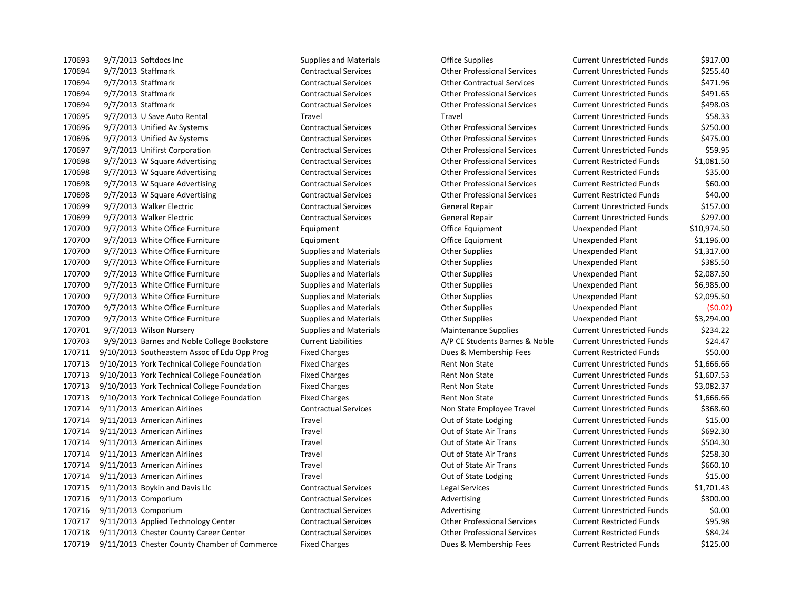170693 9/7/2013 Softdocs Inc Supplies and Materials Coffice Supplies Current Unrestricted Funds 5917.00 9/7/2013 Staffmark Contractual Services Other Professional Services Current Unrestricted Funds \$255.40 9/7/2013 Staffmark Contractual Services Other Contractual Services Current Unrestricted Funds \$471.96 9/7/2013 Staffmark Contractual Services Other Professional Services Current Unrestricted Funds \$491.65 9/7/2013 Staffmark Contractual Services Other Professional Services Current Unrestricted Funds \$498.03 9/7/2013 U Save Auto Rental Travel Travel Current Unrestricted Funds \$58.33 9/7/2013 Unified Av Systems Contractual Services Other Professional Services Current Unrestricted Funds \$250.00 9/7/2013 Unified Av Systems Contractual Services Other Professional Services Current Unrestricted Funds \$475.00 9/7/2013 Unifirst Corporation Contractual Services Other Professional Services Current Unrestricted Funds \$59.95 9/7/2013 W Square Advertising Contractual Services Other Professional Services Current Restricted Funds \$1,081.50 9/7/2013 W Square Advertising Contractual Services Other Professional Services Current Restricted Funds \$35.00 9/7/2013 W Square Advertising Contractual Services Other Professional Services Current Restricted Funds \$60.00 9/7/2013 W Square Advertising Contractual Services Other Professional Services Current Restricted Funds \$40.00 9/7/2013 Walker Electric Contractual Services General Repair Current Unrestricted Funds \$157.00 9/7/2013 Walker Electric Contractual Services General Repair Current Unrestricted Funds \$297.00 9/7/2013 White Office Furniture Equipment Office Equipment Unexpended Plant \$10,974.50 9/7/2013 White Office Furniture Equipment Office Equipment Unexpended Plant \$1,196.00 9/7/2013 White Office Furniture Supplies and Materials Other Supplies Unexpended Plant \$1,317.00 170700 9/7/2013 White Office Furniture Supplies and Materials Charles Other Supplies Unexpended Plant \$385.50 9/7/2013 White Office Furniture Supplies and Materials Other Supplies Unexpended Plant \$2,087.50 9/7/2013 White Office Furniture Supplies and Materials Other Supplies Unexpended Plant \$6,985.00 9/7/2013 White Office Furniture Supplies and Materials Other Supplies Unexpended Plant \$2,095.50 9/7/2013 White Office Furniture Supplies and Materials Other Supplies Unexpended Plant (\$0.02) 9/7/2013 White Office Furniture Supplies and Materials Other Supplies Unexpended Plant \$3,294.00 9/7/2013 Wilson Nursery Supplies and Materials Maintenance Supplies Current Unrestricted Funds \$234.22 9/9/2013 Barnes and Noble College Bookstore Current Liabilities A/P CE Students Barnes & Noble Current Unrestricted Funds \$24.47 9/10/2013 Southeastern Assoc of Edu Opp Prog Fixed Charges Dues & Membership Fees Current Restricted Funds \$50.00 9/10/2013 York Technical College Foundation Fixed Charges Rent Non State Current Unrestricted Funds \$1,666.66 9/10/2013 York Technical College Foundation Fixed Charges Rent Non State Current Unrestricted Funds \$1,607.53 9/10/2013 York Technical College Foundation Fixed Charges Rent Non State Current Unrestricted Funds \$3,082.37 9/10/2013 York Technical College Foundation Fixed Charges Rent Non State Current Unrestricted Funds \$1,666.66 9/11/2013 American Airlines Contractual Services Non State Employee Travel Current Unrestricted Funds \$368.60 9/11/2013 American Airlines Travel Out of State Lodging Current Unrestricted Funds \$15.00 9/11/2013 American Airlines Travel Out of State Air Trans Current Unrestricted Funds \$692.30 9/11/2013 American Airlines Travel Out of State Air Trans Current Unrestricted Funds \$504.30 9/11/2013 American Airlines Travel Out of State Air Trans Current Unrestricted Funds \$258.30 9/11/2013 American Airlines Travel Out of State Air Trans Current Unrestricted Funds \$660.10 170714 9/11/2013 American Airlines Travel Travel Travel Out of State Lodging Current Unrestricted Funds \$15.00 9/11/2013 Boykin and Davis Llc Contractual Services Legal Services Current Unrestricted Funds \$1,701.43 170716 9/11/2013 Comporium Contractual Services Advertising Current Unrestricted Funds \$300.00 170716 9/11/2013 Comporium Contractual Services Advertising Current Unrestricted Funds \$0.00 9/11/2013 Applied Technology Center Contractual Services Other Professional Services Current Restricted Funds \$95.98 9/11/2013 Chester County Career Center Contractual Services Other Professional Services Current Restricted Funds \$84.24 9/11/2013 Chester County Chamber of Commerce Fixed Charges Dues & Membership Fees Current Restricted Funds \$125.00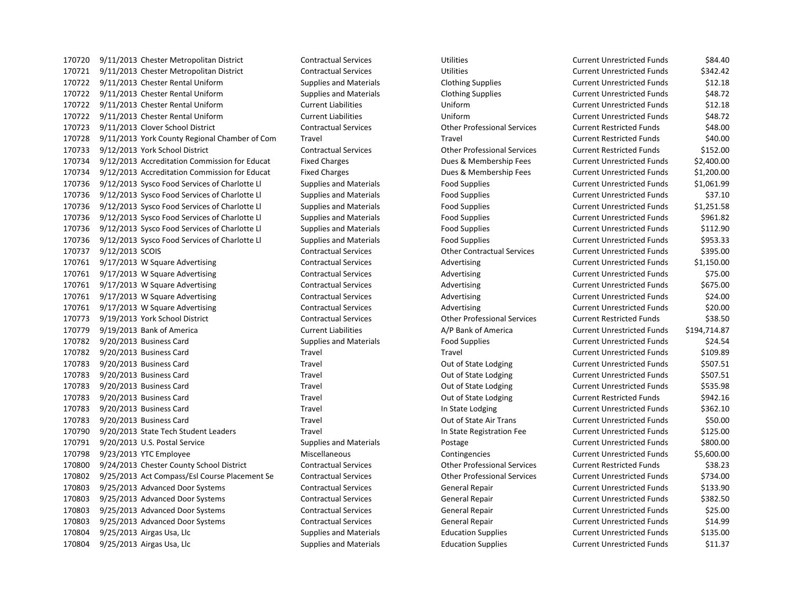9/11/2013 Chester Metropolitan District Contractual Services Utilities Current Unrestricted Funds \$84.40 9/11/2013 Chester Metropolitan District Contractual Services Utilities Current Unrestricted Funds \$342.42 9/11/2013 Chester Rental Uniform Supplies and Materials Clothing Supplies Current Unrestricted Funds \$12.18 9/11/2013 Chester Rental Uniform Supplies and Materials Clothing Supplies Current Unrestricted Funds \$48.72 9/11/2013 Chester Rental Uniform Current Liabilities Uniform Current Unrestricted Funds \$12.18 9/11/2013 Chester Rental Uniform Current Liabilities Uniform Current Unrestricted Funds \$48.72 9/11/2013 Clover School District Contractual Services Other Professional Services Current Restricted Funds \$48.00 9/11/2013 York County Regional Chamber of Com Travel Travel Current Restricted Funds \$40.00 9/12/2013 York School District Contractual Services Other Professional Services Current Restricted Funds \$152.00 9/12/2013 Accreditation Commission for Educat Fixed Charges Dues & Membership Fees Current Unrestricted Funds \$2,400.00 9/12/2013 Accreditation Commission for Educat Fixed Charges Dues & Membership Fees Current Unrestricted Funds \$1,200.00 9/12/2013 Sysco Food Services of Charlotte Ll Supplies and Materials Food Supplies Current Unrestricted Funds \$1,061.99 9/12/2013 Sysco Food Services of Charlotte Ll Supplies and Materials Food Supplies Current Unrestricted Funds \$37.10 9/12/2013 Sysco Food Services of Charlotte Ll Supplies and Materials Food Supplies Current Unrestricted Funds \$1,251.58 170736 9/12/2013 Sysco Food Services of Charlotte Ll Supplies and Materials Food Supplies Current Unrestricted Funds \$961.82 9/12/2013 Sysco Food Services of Charlotte Ll Supplies and Materials Food Supplies Current Unrestricted Funds \$112.90 170736 9/12/2013 Sysco Food Services of Charlotte Ll Supplies and Materials Food Supplies Current Unrestricted Funds \$953.33 9/12/2013 SCOIS Contractual Services Other Contractual Services Current Unrestricted Funds \$395.00 170761 9/17/2013 W Square Advertising Contractual Services Advertising Current Unrestricted Funds \$1,150.00 170761 9/17/2013 W Square Advertising Contractual Services Advertising Current Unrestricted Funds \$75.00 170761 9/17/2013 W Square Advertising Contractual Services Advertising Current Unrestricted Funds \$675.00 170761 9/17/2013 W Square Advertising Contractual Services Advertising Current Unrestricted Funds \$24.00 170761 9/17/2013 W Square Advertising Contractual Services Advertising Current Unrestricted Funds \$20.00 9/19/2013 York School District Contractual Services Other Professional Services Current Restricted Funds \$38.50 9/19/2013 Bank of America Current Liabilities A/P Bank of America Current Unrestricted Funds \$194,714.87 9/20/2013 Business Card Supplies and Materials Food Supplies Current Unrestricted Funds \$24.54 9/20/2013 Business Card Travel Travel Current Unrestricted Funds \$109.89 170783 9/20/2013 Business Card Travel Travel Travel Cut of State Lodging Current Unrestricted Funds \$507.51 170783 9/20/2013 Business Card Travel Travel Travel Cut of State Lodging Current Unrestricted Funds \$507.51 9/20/2013 Business Card Travel Out of State Lodging Current Unrestricted Funds \$535.98 9/20/2013 Business Card Travel Out of State Lodging Current Restricted Funds \$942.16 9/20/2013 Business Card Travel In State Lodging Current Unrestricted Funds \$362.10 9/20/2013 Business Card Travel Out of State Air Trans Current Unrestricted Funds \$50.00 9/20/2013 State Tech Student Leaders Travel In State Registration Fee Current Unrestricted Funds \$125.00 9/20/2013 U.S. Postal Service Supplies and Materials Postage Current Unrestricted Funds \$800.00 9/23/2013 YTC Employee Miscellaneous Contingencies Current Unrestricted Funds \$5,600.00 9/24/2013 Chester County School District Contractual Services Other Professional Services Current Restricted Funds \$38.23 9/25/2013 Act Compass/Esl Course Placement Se Contractual Services Other Professional Services Current Unrestricted Funds \$734.00 9/25/2013 Advanced Door Systems Contractual Services General Repair Current Unrestricted Funds \$133.90 9/25/2013 Advanced Door Systems Contractual Services General Repair Current Unrestricted Funds \$382.50 9/25/2013 Advanced Door Systems Contractual Services General Repair Current Unrestricted Funds \$25.00 9/25/2013 Advanced Door Systems Contractual Services General Repair Current Unrestricted Funds \$14.99 9/25/2013 Airgas Usa, Llc Supplies and Materials Education Supplies Current Unrestricted Funds \$135.00 9/25/2013 Airgas Usa, Llc Supplies and Materials Education Supplies Current Unrestricted Funds \$11.37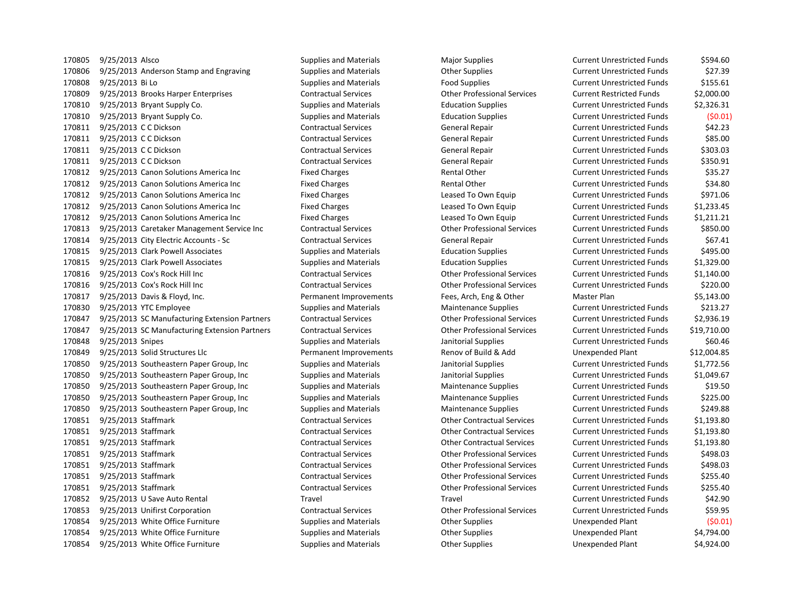170805 9/25/2013 Alsco Supplies and Materials Major Supplies Magior Supplies Current Unrestricted Funds 5594.60 170806 9/25/2013 Anderson Stamp and Engraving Supplies and Materials Current Unrestricted Funds 527.39 9/25/2013 Bi Lo Supplies and Materials Food Supplies Current Unrestricted Funds \$155.61 9/25/2013 Brooks Harper Enterprises Contractual Services Other Professional Services Current Restricted Funds \$2,000.00 9/25/2013 Bryant Supply Co. Supplies and Materials Education Supplies Current Unrestricted Funds \$2,326.31 9/25/2013 Bryant Supply Co. Supplies and Materials Education Supplies Current Unrestricted Funds (\$0.01) 9/25/2013 C C Dickson Contractual Services General Repair Current Unrestricted Funds \$42.23 9/25/2013 C C Dickson Contractual Services General Repair Current Unrestricted Funds \$85.00 9/25/2013 C C Dickson Contractual Services General Repair Current Unrestricted Funds \$303.03 9/25/2013 C C Dickson Contractual Services General Repair Current Unrestricted Funds \$350.91 170812 9/25/2013 Canon Solutions America Inc Fixed Charges Fixed Charges Rental Other Current Unrestricted Funds \$35.27 170812 9/25/2013 Canon Solutions America Inc Fixed Charges Fixed Charges Rental Other Current Unrestricted Funds \$34.80 170812 9/25/2013 Canon Solutions America Inc Fixed Charges Leased To Own Equip Current Unrestricted Funds \$971.06 9/25/2013 Canon Solutions America Inc Fixed Charges Leased To Own Equip Current Unrestricted Funds \$1,233.45 9/25/2013 Canon Solutions America Inc Fixed Charges Leased To Own Equip Current Unrestricted Funds \$1,211.21 9/25/2013 Caretaker Management Service Inc Contractual Services Other Professional Services Current Unrestricted Funds \$850.00 9/25/2013 City Electric Accounts - Sc Contractual Services General Repair Current Unrestricted Funds \$67.41 170815 9/25/2013 Clark Powell Associates Supplies and Materials Education Supplies Current Unrestricted Funds \$495.00 9/25/2013 Clark Powell Associates Supplies and Materials Education Supplies Current Unrestricted Funds \$1,329.00 9/25/2013 Cox's Rock Hill Inc Contractual Services Other Professional Services Current Unrestricted Funds \$1,140.00 9/25/2013 Cox's Rock Hill Inc Contractual Services Other Professional Services Current Unrestricted Funds \$220.00 9/25/2013 Davis & Floyd, Inc. Permanent Improvements Fees, Arch, Eng & Other Master Plan \$5,143.00 170830 9/25/2013 YTC Employee Supplies and Materials Maintenance Supplies Current Unrestricted Funds \$213.27 9/25/2013 SC Manufacturing Extension Partners Contractual Services Other Professional Services Current Unrestricted Funds \$2,936.19 9/25/2013 SC Manufacturing Extension Partners Contractual Services Other Professional Services Current Unrestricted Funds \$19,710.00 170848 9/25/2013 Snipes Supplies and Materials Janitorial Supplies Current Unrestricted Funds \$60.46 9/25/2013 Solid Structures Llc Permanent Improvements Renov of Build & Add Unexpended Plant \$12,004.85 9/25/2013 Southeastern Paper Group, Inc Supplies and Materials Janitorial Supplies Current Unrestricted Funds \$1,772.56 9/25/2013 Southeastern Paper Group, Inc Supplies and Materials Janitorial Supplies Current Unrestricted Funds \$1,049.67 9/25/2013 Southeastern Paper Group, Inc Supplies and Materials Maintenance Supplies Current Unrestricted Funds \$19.50 170850 9/25/2013 Southeastern Paper Group, Inc Supplies and Materials Maintenance Supplies Current Unrestricted Funds \$225.00 9/25/2013 Southeastern Paper Group, Inc Supplies and Materials Maintenance Supplies Current Unrestricted Funds \$249.88 9/25/2013 Staffmark Contractual Services Other Contractual Services Current Unrestricted Funds \$1,193.80 9/25/2013 Staffmark Contractual Services Other Contractual Services Current Unrestricted Funds \$1,193.80 9/25/2013 Staffmark Contractual Services Other Contractual Services Current Unrestricted Funds \$1,193.80 9/25/2013 Staffmark Contractual Services Other Professional Services Current Unrestricted Funds \$498.03 9/25/2013 Staffmark Contractual Services Other Professional Services Current Unrestricted Funds \$498.03 9/25/2013 Staffmark Contractual Services Other Professional Services Current Unrestricted Funds \$255.40 9/25/2013 Staffmark Contractual Services Other Professional Services Current Unrestricted Funds \$255.40 9/25/2013 U Save Auto Rental Travel Travel Current Unrestricted Funds \$42.90 9/25/2013 Unifirst Corporation Contractual Services Other Professional Services Current Unrestricted Funds \$59.95 9/25/2013 White Office Furniture Supplies and Materials Other Supplies Unexpended Plant (\$0.01) 9/25/2013 White Office Furniture Supplies and Materials Other Supplies Unexpended Plant \$4,794.00 9/25/2013 White Office Furniture Supplies and Materials Other Supplies Unexpended Plant \$4,924.00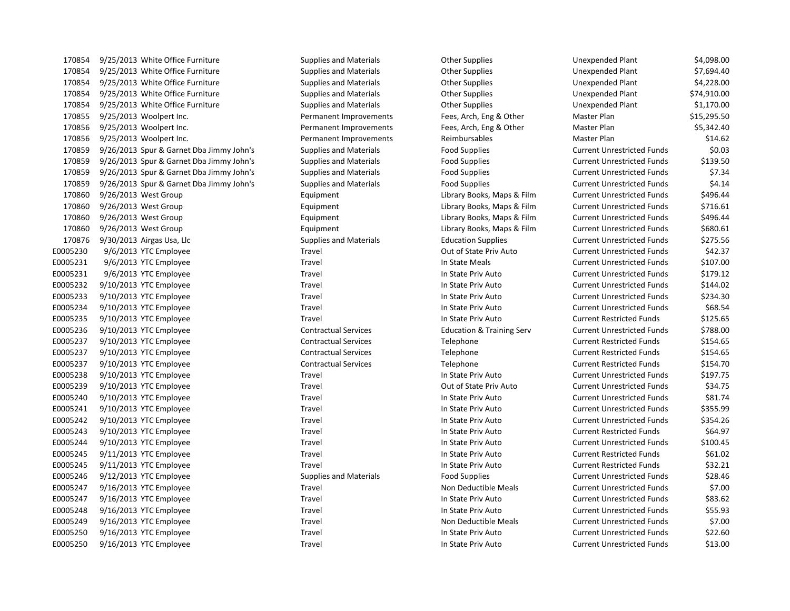170854 9/25/2013 White Office Furniture Supplies and Materials Cher Supplies Company of the Supplies 170854 9/25/2013 White Office Furniture Supplies and Materials Cher Supplies Unexpendent Stupplies Plant & Rependent Stupplies And Materials 170854 9/25/2013 White Office Furniture Supplies and Materials Cher Supplies Company of the Supplies 170854 9/25/2013 White Office Furniture Supplies and Materials Cher Supplies Unexpendent Stupplies Plant & Rependent Stupplies And Materials 170854 9/25/2013 White Office Furniture Supplies and Materials Cher Supplies Company of the Supplies 170855 9/25/2013 Woolpert Inc. Permanent Improvements Fees, Arch, Eng & Other Master Plan & Other Plan & Other 170856 9/25/2013 Woolpert Inc. Permanent Improvements Fees, Arch, Eng & Other Master Plan & Other Plan & Other 170856 9/25/2013 Woolpert Inc. The Permanent Improvements Reimbursables 170859 9/26/2013 Spur & Garnet Dba Jimmy John's Supplies and Materials Food Supplies 170859 9/26/2013 Spur & Garnet Dba Jimmy John's Supplies and Materials Food Supplies 170859 9/26/2013 Spur & Garnet Dba Jimmy John's Supplies and Materials Food Supplies 170859 9/26/2013 Spur & Garnet Dba Jimmy John's Supplies and Materials Food Supplies 170860 9/26/2013 West Group **Equipment** Equipment Library Books, Maps & Film 170860 9/26/2013 West Group **Equipment** Equipment Library Books, Maps & Film 170860 9/26/2013 West Group **Equipment** Equipment Library Books, Maps & Film 170860 9/26/2013 West Group **Equipment** Equipment Library Books, Maps & Film 170876 9/30/2013 Airgas Usa, Llc Supplies and Materials Education Supplies Current Unrestricted Funds & 2016 E0005230 9/6/2013 YTC Employee Travel Travel Travel Cut of State Priv Auto E0005231 9/6/2013 YTC Employee Travel In State Meals Current Units Current Units Current Units Current Units Current Units Current Units Current Units Current Units Current Units Current Units Current Units Current Units C E0005231 9/6/2013 YTC Employee Travel Travel In State Priv Auto E0005232 9/10/2013 YTC Employee Travel Travel In State Priv Auto E0005233 9/10/2013 YTC Employee Travel Travel In State Priv Auto E0005234 9/10/2013 YTC Employee Travel Travel In State Priv Auto E0005235 9/10/2013 YTC Employee Travel Travel In State Priv Auto E0005236 9/10/2013 YTC Employee Contractual Services Education & Training Serv E0005237 9/10/2013 YTC Employee Contractual Services Contractual Services Telephone E0005237 9/10/2013 YTC Employee Contractual Services Contractual Services Telephone E0005237 9/10/2013 YTC Employee Contractual Services Contractual Services Telephone E0005238 9/10/2013 YTC Employee Travel Travel In State Priv Auto E0005239 9/10/2013 YTC Employee Travel Travel Travel Cut of State Priv Auto E0005240 9/10/2013 YTC Employee Travel Travel In State Priv Auto E0005241 9/10/2013 YTC Employee Travel Travel In State Priv Auto E0005242 9/10/2013 YTC Employee Travel Travel In State Priv Auto E0005243 9/10/2013 YTC Employee Travel Travel In State Priv Auto E0005244 9/10/2013 YTC Employee Travel Travel In State Priv Auto E0005245 9/11/2013 YTC Employee Travel Travel In State Priv Auto E0005245 9/11/2013 YTC Employee Travel Travel In State Priv Auto E0005246 9/12/2013 YTC Employee Supplies and Materials Food Supplies Current Employee E0005247 9/16/2013 YTC Employee Travel Travel Travel Non Deductible Meals E0005247 9/16/2013 YTC Employee Travel Travel In State Priv Auto E0005248 9/16/2013 YTC Employee Travel Travel In State Priv Auto E0005249 9/16/2013 YTC Employee Travel Travel Travel Non Deductible Meals E0005250 9/16/2013 YTC Employee Travel Travel In State Priv Auto E0005250 9/16/2013 YTC Employee Travel Travel In State Priv Auto

| Unexpended Plant                  | \$4,098.00  |
|-----------------------------------|-------------|
| <b>Unexpended Plant</b>           | \$7,694.40  |
| <b>Unexpended Plant</b>           | \$4,228.00  |
| <b>Unexpended Plant</b>           | \$74,910.00 |
| <b>Unexpended Plant</b>           | \$1,170.00  |
| Master Plan                       | \$15,295.50 |
| Master Plan                       | \$5,342.40  |
| <b>Master Plan</b>                | \$14.62     |
| <b>Current Unrestricted Funds</b> | \$0.03      |
| <b>Current Unrestricted Funds</b> | \$139.50    |
| <b>Current Unrestricted Funds</b> | \$7.34      |
| <b>Current Unrestricted Funds</b> | \$4.14      |
| <b>Current Unrestricted Funds</b> | \$496.44    |
| <b>Current Unrestricted Funds</b> | \$716.61    |
| <b>Current Unrestricted Funds</b> | \$496.44    |
| <b>Current Unrestricted Funds</b> | \$680.61    |
| <b>Current Unrestricted Funds</b> | \$275.56    |
| <b>Current Unrestricted Funds</b> | \$42.37     |
| <b>Current Unrestricted Funds</b> | \$107.00    |
| <b>Current Unrestricted Funds</b> | \$179.12    |
| <b>Current Unrestricted Funds</b> | \$144.02    |
| <b>Current Unrestricted Funds</b> | \$234.30    |
| <b>Current Unrestricted Funds</b> | \$68.54     |
| <b>Current Restricted Funds</b>   | \$125.65    |
| <b>Current Unrestricted Funds</b> | \$788.00    |
| <b>Current Restricted Funds</b>   | \$154.65    |
| <b>Current Restricted Funds</b>   | \$154.65    |
| <b>Current Restricted Funds</b>   | \$154.70    |
| <b>Current Unrestricted Funds</b> | \$197.75    |
| <b>Current Unrestricted Funds</b> | \$34.75     |
| <b>Current Unrestricted Funds</b> | \$81.74     |
| <b>Current Unrestricted Funds</b> | \$355.99    |
| <b>Current Unrestricted Funds</b> | \$354.26    |
| <b>Current Restricted Funds</b>   | \$64.97     |
| <b>Current Unrestricted Funds</b> | \$100.45    |
| <b>Current Restricted Funds</b>   | \$61.02     |
| <b>Current Restricted Funds</b>   | \$32.21     |
| <b>Current Unrestricted Funds</b> | \$28.46     |
| <b>Current Unrestricted Funds</b> | \$7.00      |
| <b>Current Unrestricted Funds</b> | \$83.62     |
| <b>Current Unrestricted Funds</b> | \$55.93     |
| <b>Current Unrestricted Funds</b> | \$7.00      |
| <b>Current Unrestricted Funds</b> | \$22.60     |
| <b>Current Unrestricted Funds</b> | \$13.00     |